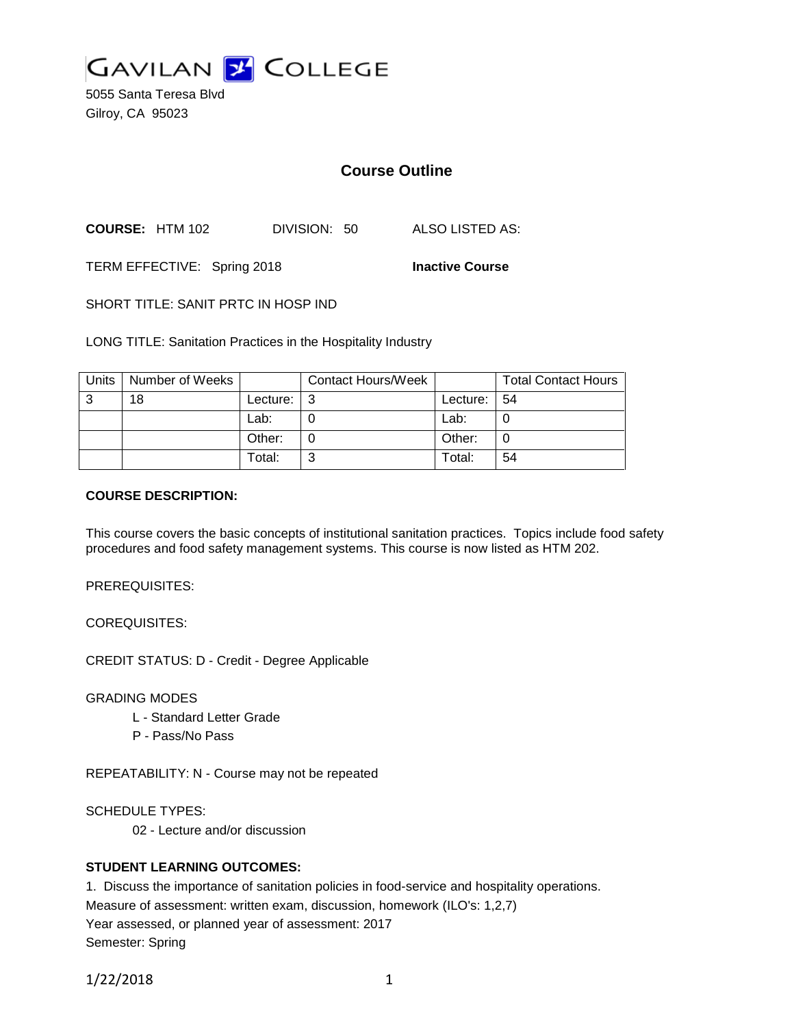

5055 Santa Teresa Blvd Gilroy, CA 95023

# **Course Outline**

**COURSE:** HTM 102 DIVISION: 50 ALSO LISTED AS:

TERM EFFECTIVE: Spring 2018 **Inactive Course**

SHORT TITLE: SANIT PRTC IN HOSP IND

LONG TITLE: Sanitation Practices in the Hospitality Industry

| Units | Number of Weeks |          | <b>Contact Hours/Week</b> |          | <b>Total Contact Hours</b> |
|-------|-----------------|----------|---------------------------|----------|----------------------------|
| 3     | 18              | Lecture: | ີ                         | Lecture: | l 54                       |
|       |                 | Lab:     |                           | Lab:     |                            |
|       |                 | Other:   |                           | Other:   | 0                          |
|       |                 | Total:   | ົ                         | Total:   | 54                         |

### **COURSE DESCRIPTION:**

This course covers the basic concepts of institutional sanitation practices. Topics include food safety procedures and food safety management systems. This course is now listed as HTM 202.

PREREQUISITES:

COREQUISITES:

CREDIT STATUS: D - Credit - Degree Applicable

GRADING MODES

- L Standard Letter Grade
- P Pass/No Pass

REPEATABILITY: N - Course may not be repeated

SCHEDULE TYPES:

02 - Lecture and/or discussion

## **STUDENT LEARNING OUTCOMES:**

1. Discuss the importance of sanitation policies in food-service and hospitality operations.

Measure of assessment: written exam, discussion, homework (ILO's: 1,2,7)

Year assessed, or planned year of assessment: 2017

Semester: Spring

1/22/2018 1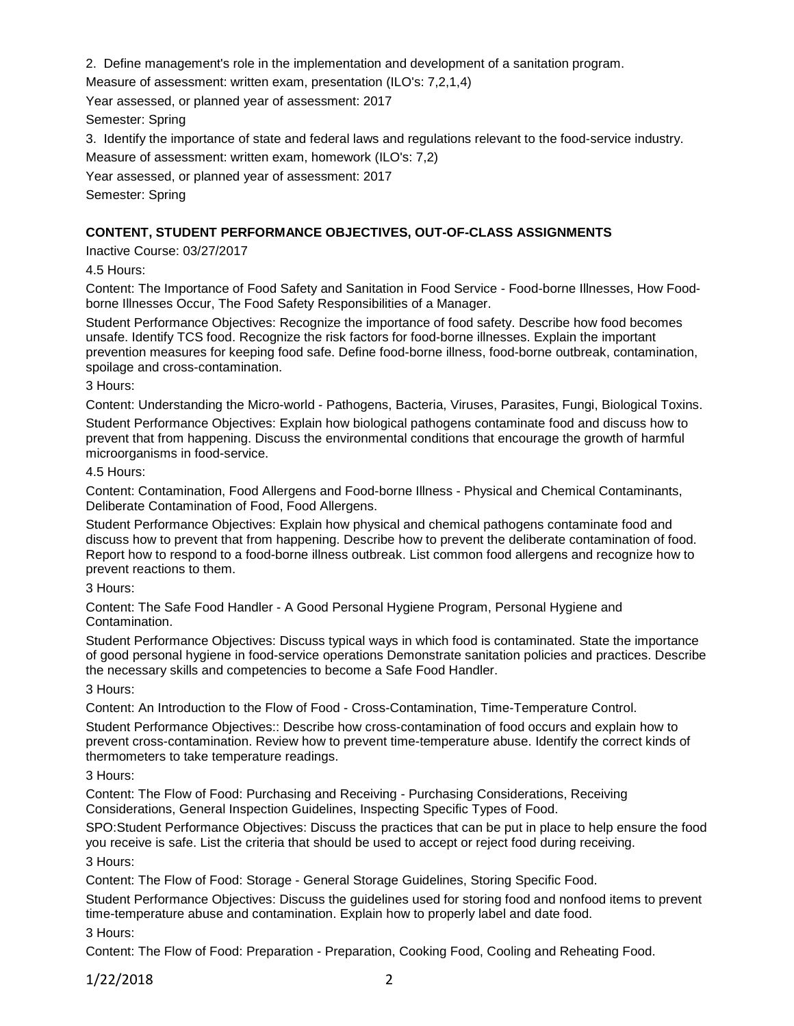2. Define management's role in the implementation and development of a sanitation program.

Measure of assessment: written exam, presentation (ILO's: 7,2,1,4)

Year assessed, or planned year of assessment: 2017

Semester: Spring

3. Identify the importance of state and federal laws and regulations relevant to the food-service industry.

Measure of assessment: written exam, homework (ILO's: 7,2)

Year assessed, or planned year of assessment: 2017

Semester: Spring

## **CONTENT, STUDENT PERFORMANCE OBJECTIVES, OUT-OF-CLASS ASSIGNMENTS**

Inactive Course: 03/27/2017

4.5 Hours:

Content: The Importance of Food Safety and Sanitation in Food Service - Food-borne Illnesses, How Foodborne Illnesses Occur, The Food Safety Responsibilities of a Manager.

Student Performance Objectives: Recognize the importance of food safety. Describe how food becomes unsafe. Identify TCS food. Recognize the risk factors for food-borne illnesses. Explain the important prevention measures for keeping food safe. Define food-borne illness, food-borne outbreak, contamination, spoilage and cross-contamination.

3 Hours:

Content: Understanding the Micro-world - Pathogens, Bacteria, Viruses, Parasites, Fungi, Biological Toxins.

Student Performance Objectives: Explain how biological pathogens contaminate food and discuss how to prevent that from happening. Discuss the environmental conditions that encourage the growth of harmful microorganisms in food-service.

4.5 Hours:

Content: Contamination, Food Allergens and Food-borne Illness - Physical and Chemical Contaminants, Deliberate Contamination of Food, Food Allergens.

Student Performance Objectives: Explain how physical and chemical pathogens contaminate food and discuss how to prevent that from happening. Describe how to prevent the deliberate contamination of food. Report how to respond to a food-borne illness outbreak. List common food allergens and recognize how to prevent reactions to them.

3 Hours:

Content: The Safe Food Handler - A Good Personal Hygiene Program, Personal Hygiene and Contamination.

Student Performance Objectives: Discuss typical ways in which food is contaminated. State the importance of good personal hygiene in food-service operations Demonstrate sanitation policies and practices. Describe the necessary skills and competencies to become a Safe Food Handler.

3 Hours:

Content: An Introduction to the Flow of Food - Cross-Contamination, Time-Temperature Control.

Student Performance Objectives:: Describe how cross-contamination of food occurs and explain how to prevent cross-contamination. Review how to prevent time-temperature abuse. Identify the correct kinds of thermometers to take temperature readings.

3 Hours:

Content: The Flow of Food: Purchasing and Receiving - Purchasing Considerations, Receiving Considerations, General Inspection Guidelines, Inspecting Specific Types of Food.

SPO:Student Performance Objectives: Discuss the practices that can be put in place to help ensure the food you receive is safe. List the criteria that should be used to accept or reject food during receiving. 3 Hours:

Content: The Flow of Food: Storage - General Storage Guidelines, Storing Specific Food.

Student Performance Objectives: Discuss the guidelines used for storing food and nonfood items to prevent time-temperature abuse and contamination. Explain how to properly label and date food.

3 Hours:

Content: The Flow of Food: Preparation - Preparation, Cooking Food, Cooling and Reheating Food.

1/22/2018 2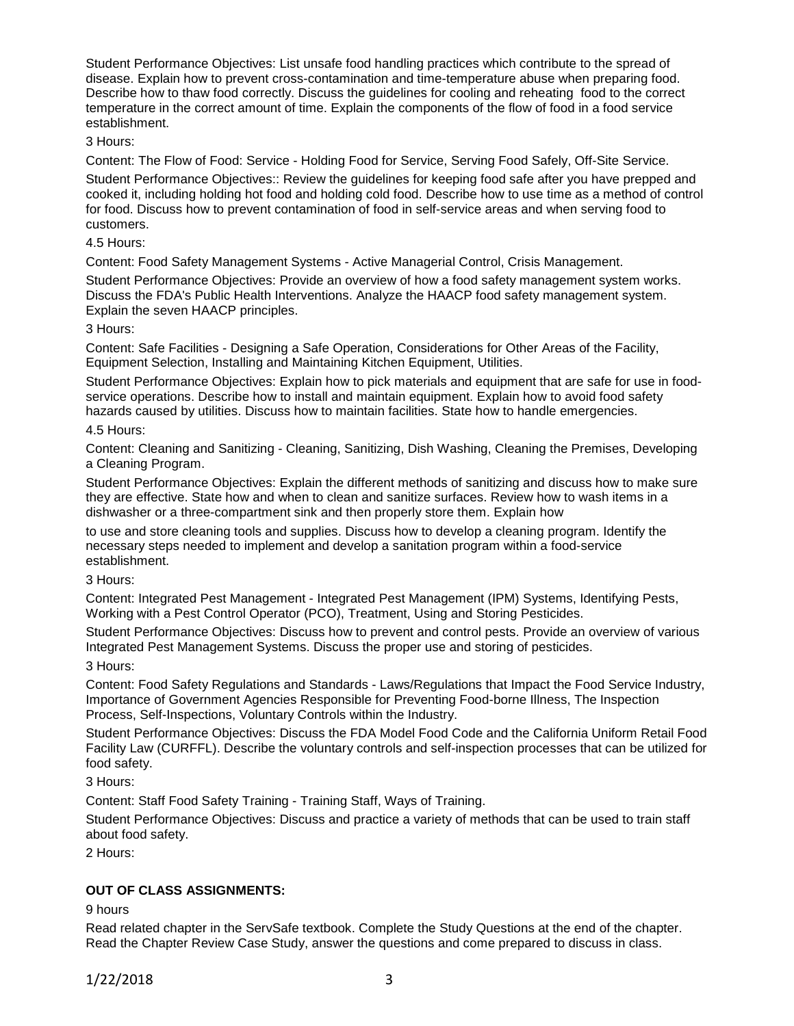Student Performance Objectives: List unsafe food handling practices which contribute to the spread of disease. Explain how to prevent cross-contamination and time-temperature abuse when preparing food. Describe how to thaw food correctly. Discuss the guidelines for cooling and reheating food to the correct temperature in the correct amount of time. Explain the components of the flow of food in a food service establishment.

### 3 Hours:

Content: The Flow of Food: Service - Holding Food for Service, Serving Food Safely, Off-Site Service.

Student Performance Objectives:: Review the guidelines for keeping food safe after you have prepped and cooked it, including holding hot food and holding cold food. Describe how to use time as a method of control for food. Discuss how to prevent contamination of food in self-service areas and when serving food to customers.

#### 4.5 Hours:

Content: Food Safety Management Systems - Active Managerial Control, Crisis Management.

Student Performance Objectives: Provide an overview of how a food safety management system works. Discuss the FDA's Public Health Interventions. Analyze the HAACP food safety management system. Explain the seven HAACP principles.

### 3 Hours:

Content: Safe Facilities - Designing a Safe Operation, Considerations for Other Areas of the Facility, Equipment Selection, Installing and Maintaining Kitchen Equipment, Utilities.

Student Performance Objectives: Explain how to pick materials and equipment that are safe for use in foodservice operations. Describe how to install and maintain equipment. Explain how to avoid food safety hazards caused by utilities. Discuss how to maintain facilities. State how to handle emergencies.

### 4.5 Hours:

Content: Cleaning and Sanitizing - Cleaning, Sanitizing, Dish Washing, Cleaning the Premises, Developing a Cleaning Program.

Student Performance Objectives: Explain the different methods of sanitizing and discuss how to make sure they are effective. State how and when to clean and sanitize surfaces. Review how to wash items in a dishwasher or a three-compartment sink and then properly store them. Explain how

to use and store cleaning tools and supplies. Discuss how to develop a cleaning program. Identify the necessary steps needed to implement and develop a sanitation program within a food-service establishment.

### 3 Hours:

Content: Integrated Pest Management - Integrated Pest Management (IPM) Systems, Identifying Pests, Working with a Pest Control Operator (PCO), Treatment, Using and Storing Pesticides.

Student Performance Objectives: Discuss how to prevent and control pests. Provide an overview of various Integrated Pest Management Systems. Discuss the proper use and storing of pesticides.

#### 3 Hours:

Content: Food Safety Regulations and Standards - Laws/Regulations that Impact the Food Service Industry, Importance of Government Agencies Responsible for Preventing Food-borne Illness, The Inspection Process, Self-Inspections, Voluntary Controls within the Industry.

Student Performance Objectives: Discuss the FDA Model Food Code and the California Uniform Retail Food Facility Law (CURFFL). Describe the voluntary controls and self-inspection processes that can be utilized for food safety.

3 Hours:

Content: Staff Food Safety Training - Training Staff, Ways of Training.

Student Performance Objectives: Discuss and practice a variety of methods that can be used to train staff about food safety.

2 Hours:

## **OUT OF CLASS ASSIGNMENTS:**

9 hours

Read related chapter in the ServSafe textbook. Complete the Study Questions at the end of the chapter. Read the Chapter Review Case Study, answer the questions and come prepared to discuss in class.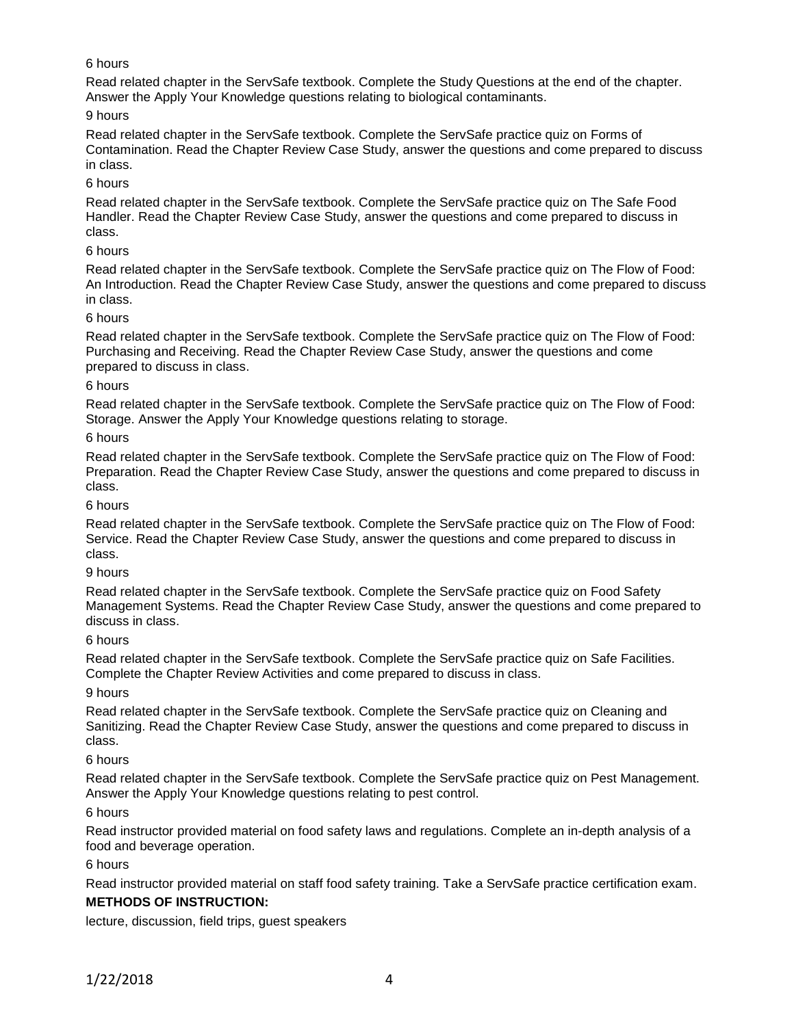## 6 hours

Read related chapter in the ServSafe textbook. Complete the Study Questions at the end of the chapter. Answer the Apply Your Knowledge questions relating to biological contaminants.

## 9 hours

Read related chapter in the ServSafe textbook. Complete the ServSafe practice quiz on Forms of Contamination. Read the Chapter Review Case Study, answer the questions and come prepared to discuss in class.

## 6 hours

Read related chapter in the ServSafe textbook. Complete the ServSafe practice quiz on The Safe Food Handler. Read the Chapter Review Case Study, answer the questions and come prepared to discuss in class.

## 6 hours

Read related chapter in the ServSafe textbook. Complete the ServSafe practice quiz on The Flow of Food: An Introduction. Read the Chapter Review Case Study, answer the questions and come prepared to discuss in class.

## 6 hours

Read related chapter in the ServSafe textbook. Complete the ServSafe practice quiz on The Flow of Food: Purchasing and Receiving. Read the Chapter Review Case Study, answer the questions and come prepared to discuss in class.

## 6 hours

Read related chapter in the ServSafe textbook. Complete the ServSafe practice quiz on The Flow of Food: Storage. Answer the Apply Your Knowledge questions relating to storage.

## 6 hours

Read related chapter in the ServSafe textbook. Complete the ServSafe practice quiz on The Flow of Food: Preparation. Read the Chapter Review Case Study, answer the questions and come prepared to discuss in class.

### 6 hours

Read related chapter in the ServSafe textbook. Complete the ServSafe practice quiz on The Flow of Food: Service. Read the Chapter Review Case Study, answer the questions and come prepared to discuss in class.

## 9 hours

Read related chapter in the ServSafe textbook. Complete the ServSafe practice quiz on Food Safety Management Systems. Read the Chapter Review Case Study, answer the questions and come prepared to discuss in class.

## 6 hours

Read related chapter in the ServSafe textbook. Complete the ServSafe practice quiz on Safe Facilities. Complete the Chapter Review Activities and come prepared to discuss in class.

## 9 hours

Read related chapter in the ServSafe textbook. Complete the ServSafe practice quiz on Cleaning and Sanitizing. Read the Chapter Review Case Study, answer the questions and come prepared to discuss in class.

## 6 hours

Read related chapter in the ServSafe textbook. Complete the ServSafe practice quiz on Pest Management. Answer the Apply Your Knowledge questions relating to pest control.

## 6 hours

Read instructor provided material on food safety laws and regulations. Complete an in-depth analysis of a food and beverage operation.

## 6 hours

Read instructor provided material on staff food safety training. Take a ServSafe practice certification exam. **METHODS OF INSTRUCTION:**

lecture, discussion, field trips, guest speakers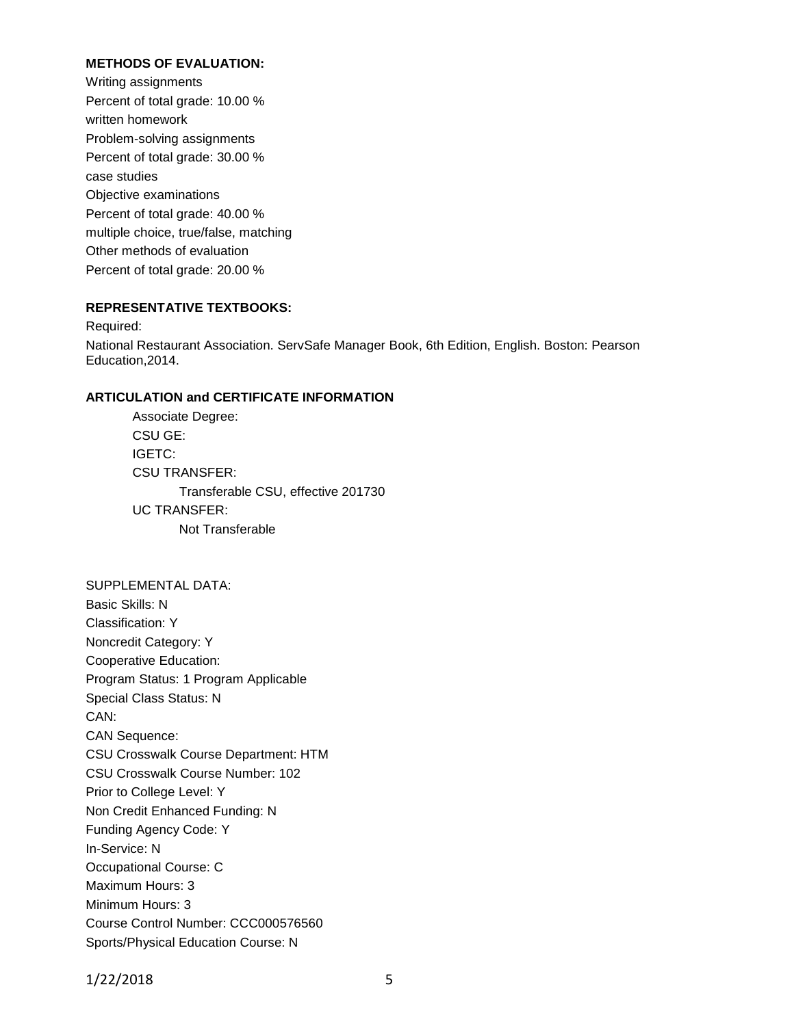## **METHODS OF EVALUATION:**

Writing assignments Percent of total grade: 10.00 % written homework Problem-solving assignments Percent of total grade: 30.00 % case studies Objective examinations Percent of total grade: 40.00 % multiple choice, true/false, matching Other methods of evaluation Percent of total grade: 20.00 %

### **REPRESENTATIVE TEXTBOOKS:**

Required: National Restaurant Association. ServSafe Manager Book, 6th Edition, English. Boston: Pearson Education,2014.

#### **ARTICULATION and CERTIFICATE INFORMATION**

Associate Degree: CSU GE: IGETC: CSU TRANSFER: Transferable CSU, effective 201730 UC TRANSFER: Not Transferable

SUPPLEMENTAL DATA: Basic Skills: N Classification: Y Noncredit Category: Y Cooperative Education: Program Status: 1 Program Applicable Special Class Status: N CAN: CAN Sequence: CSU Crosswalk Course Department: HTM CSU Crosswalk Course Number: 102 Prior to College Level: Y Non Credit Enhanced Funding: N Funding Agency Code: Y In-Service: N Occupational Course: C Maximum Hours: 3 Minimum Hours: 3 Course Control Number: CCC000576560 Sports/Physical Education Course: N

1/22/2018 5